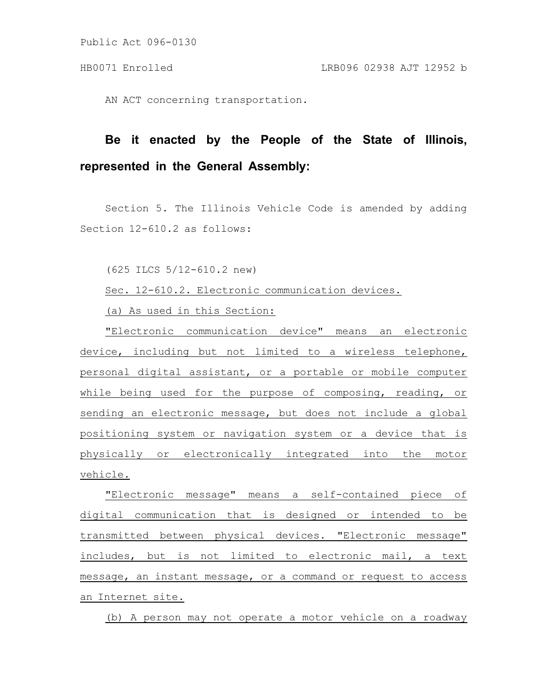Public Act 096-0130

AN ACT concerning transportation.

## **Be it enacted by the People of the State of Illinois, represented in the General Assembly:**

Section 5. The Illinois Vehicle Code is amended by adding Section 12-610.2 as follows:

(625 ILCS 5/12-610.2 new)

Sec. 12-610.2. Electronic communication devices.

(a) As used in this Section:

"Electronic communication device" means an electronic device, including but not limited to a wireless telephone, personal digital assistant, or a portable or mobile computer while being used for the purpose of composing, reading, or sending an electronic message, but does not include a global positioning system or navigation system or a device that is physically or electronically integrated into the motor vehicle.

"Electronic message" means a self-contained piece of digital communication that is designed or intended to be transmitted between physical devices. "Electronic message" includes, but is not limited to electronic mail, a text message, an instant message, or a command or request to access an Internet site.

(b) A person may not operate a motor vehicle on a roadway